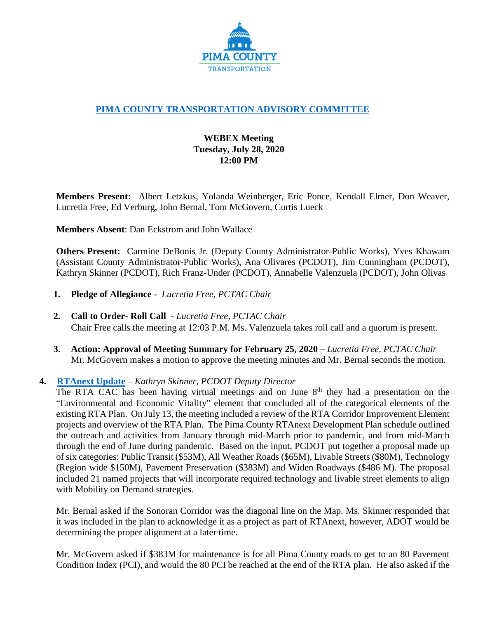

# **[PIMA COUNTY TRANSPORTATION ADVISORY COMMITTEE](https://webcms.pima.gov/cms/One.aspx?portalId=169&pageId=355530)**

## **WEBEX Meeting Tuesday, July 28, 2020 12:00 PM**

**Members Present:** Albert Letzkus, Yolanda Weinberger, Eric Ponce, Kendall Elmer, Don Weaver, Lucretia Free, Ed Verburg, John Bernal, Tom McGovern, Curtis Lueck

**Members Absent**: Dan Eckstrom and John Wallace

**Others Present:** Carmine DeBonis Jr. (Deputy County Administrator-Public Works), Yves Khawam (Assistant County Administrator-Public Works), Ana Olivares (PCDOT), Jim Cunningham (PCDOT), Kathryn Skinner (PCDOT), Rich Franz-Under (PCDOT), Annabelle Valenzuela (PCDOT), John Olivas

- **1. Pledge of Allegiance**  *Lucretia Free, PCTAC Chair*
- **2. Call to Order- Roll Call**  *Lucretia Free, PCTAC Chair* Chair Free calls the meeting at 12:03 P.M. Ms. Valenzuela takes roll call and a quorum is present.
- **3. Action: Approval of Meeting Summary for February 25, 2020** *Lucretia Free, PCTAC Chair* Mr. McGovern makes a motion to approve the meeting minutes and Mr. Bernal seconds the motion.

### **4. [RTAnext Update](https://webcms.pima.gov/UserFiles/Servers/Server_6/File/Government/Transportation/TransportationAdvisoryCommittee/DocumentsTab/July%2028,%202020/PCTAC%20200728%20RTAnext%20and%20Impact%20Fee%20update.pdf)** – *Kathryn Skinner, PCDOT Deputy Director*

The RTA CAC has been having virtual meetings and on June  $8<sup>th</sup>$  they had a presentation on the "Environmental and Economic Vitality" element that concluded all of the categorical elements of the existing RTA Plan. On July 13, the meeting included a review of the RTA Corridor Improvement Element projects and overview of the RTA Plan. The Pima County RTAnext Development Plan schedule outlined the outreach and activities from January through mid-March prior to pandemic, and from mid-March through the end of June during pandemic. Based on the input, PCDOT put together a proposal made up of six categories: Public Transit (\$53M), All Weather Roads (\$65M), Livable Streets (\$80M), Technology (Region wide \$150M), Pavement Preservation (\$383M) and Widen Roadways (\$486 M). The proposal included 21 named projects that will incorporate required technology and livable street elements to align with Mobility on Demand strategies.

Mr. Bernal asked if the Sonoran Corridor was the diagonal line on the Map. Ms. Skinner responded that it was included in the plan to acknowledge it as a project as part of RTAnext, however, ADOT would be determining the proper alignment at a later time.

Mr. McGovern asked if \$383M for maintenance is for all Pima County roads to get to an 80 Pavement Condition Index (PCI), and would the 80 PCI be reached at the end of the RTA plan. He also asked if the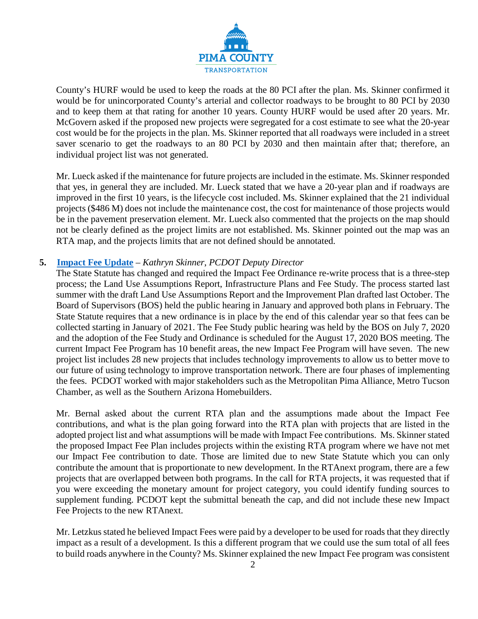

County's HURF would be used to keep the roads at the 80 PCI after the plan. Ms. Skinner confirmed it would be for unincorporated County's arterial and collector roadways to be brought to 80 PCI by 2030 and to keep them at that rating for another 10 years. County HURF would be used after 20 years. Mr. McGovern asked if the proposed new projects were segregated for a cost estimate to see what the 20-year cost would be for the projects in the plan. Ms. Skinner reported that all roadways were included in a street saver scenario to get the roadways to an 80 PCI by 2030 and then maintain after that; therefore, an individual project list was not generated.

Mr. Lueck asked if the maintenance for future projects are included in the estimate. Ms. Skinner responded that yes, in general they are included. Mr. Lueck stated that we have a 20-year plan and if roadways are improved in the first 10 years, is the lifecycle cost included. Ms. Skinner explained that the 21 individual projects (\$486 M) does not include the maintenance cost, the cost for maintenance of those projects would be in the pavement preservation element. Mr. Lueck also commented that the projects on the map should not be clearly defined as the project limits are not established. Ms. Skinner pointed out the map was an RTA map, and the projects limits that are not defined should be annotated.

#### **5. [Impact Fee Update](https://webcms.pima.gov/UserFiles/Servers/Server_6/File/Government/Transportation/TransportationAdvisoryCommittee/DocumentsTab/July%2028,%202020/PCTAC%20200728%20RTAnext%20and%20Impact%20Fee%20update.pdf)** *– Kathryn Skinner*, *PCDOT Deputy Director*

The State Statute has changed and required the Impact Fee Ordinance re-write process that is a three-step process; the Land Use Assumptions Report, Infrastructure Plans and Fee Study. The process started last summer with the draft Land Use Assumptions Report and the Improvement Plan drafted last October. The Board of Supervisors (BOS) held the public hearing in January and approved both plans in February. The State Statute requires that a new ordinance is in place by the end of this calendar year so that fees can be collected starting in January of 2021. The Fee Study public hearing was held by the BOS on July 7, 2020 and the adoption of the Fee Study and Ordinance is scheduled for the August 17, 2020 BOS meeting. The current Impact Fee Program has 10 benefit areas, the new Impact Fee Program will have seven. The new project list includes 28 new projects that includes technology improvements to allow us to better move to our future of using technology to improve transportation network. There are four phases of implementing the fees. PCDOT worked with major stakeholders such as the Metropolitan Pima Alliance, Metro Tucson Chamber, as well as the Southern Arizona Homebuilders.

Mr. Bernal asked about the current RTA plan and the assumptions made about the Impact Fee contributions, and what is the plan going forward into the RTA plan with projects that are listed in the adopted project list and what assumptions will be made with Impact Fee contributions. Ms. Skinner stated the proposed Impact Fee Plan includes projects within the existing RTA program where we have not met our Impact Fee contribution to date. Those are limited due to new State Statute which you can only contribute the amount that is proportionate to new development. In the RTAnext program, there are a few projects that are overlapped between both programs. In the call for RTA projects, it was requested that if you were exceeding the monetary amount for project category, you could identify funding sources to supplement funding. PCDOT kept the submittal beneath the cap, and did not include these new Impact Fee Projects to the new RTAnext.

Mr. Letzkus stated he believed Impact Fees were paid by a developer to be used for roads that they directly impact as a result of a development. Is this a different program that we could use the sum total of all fees to build roads anywhere in the County? Ms. Skinner explained the new Impact Fee program was consistent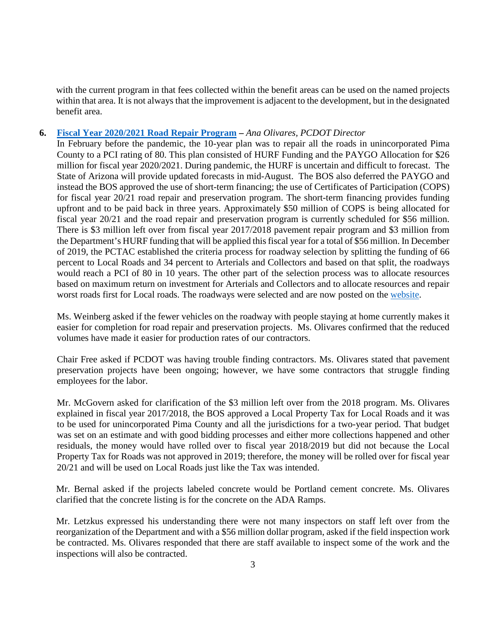with the current program in that fees collected within the benefit areas can be used on the named projects within that area. It is not always that the improvement is adjacent to the development, but in the designated benefit area.

#### **6. [Fiscal Year 2020/2021 Road Repair Program](https://webcms.pima.gov/UserFiles/Servers/Server_6/File/Government/Transportation/TransportationAdvisoryCommittee/DocumentsTab/July%2028,%202020/PCTAC%20200728%20FY%202021%20Road%20Repair%20Program.pdf) –** *Ana Olivares, PCDOT Director*

In February before the pandemic, the 10-year plan was to repair all the roads in unincorporated Pima County to a PCI rating of 80. This plan consisted of HURF Funding and the PAYGO Allocation for \$26 million for fiscal year 2020/2021. During pandemic, the HURF is uncertain and difficult to forecast. The State of Arizona will provide updated forecasts in mid-August. The BOS also deferred the PAYGO and instead the BOS approved the use of short-term financing; the use of Certificates of Participation (COPS) for fiscal year 20/21 road repair and preservation program. The short-term financing provides funding upfront and to be paid back in three years. Approximately \$50 million of COPS is being allocated for fiscal year 20/21 and the road repair and preservation program is currently scheduled for \$56 million. There is \$3 million left over from fiscal year 2017/2018 pavement repair program and \$3 million from the Department's HURF funding that will be applied this fiscal year for a total of \$56 million. In December of 2019, the PCTAC established the criteria process for roadway selection by splitting the funding of 66 percent to Local Roads and 34 percent to Arterials and Collectors and based on that split, the roadways would reach a PCI of 80 in 10 years. The other part of the selection process was to allocate resources based on maximum return on investment for Arterials and Collectors and to allocate resources and repair worst roads first for Local roads. The roadways were selected and are now posted on the [website.](https://webcms.pima.gov/cms/One.aspx?portalId=169&pageId=53289)

Ms. Weinberg asked if the fewer vehicles on the roadway with people staying at home currently makes it easier for completion for road repair and preservation projects. Ms. Olivares confirmed that the reduced volumes have made it easier for production rates of our contractors.

Chair Free asked if PCDOT was having trouble finding contractors. Ms. Olivares stated that pavement preservation projects have been ongoing; however, we have some contractors that struggle finding employees for the labor.

Mr. McGovern asked for clarification of the \$3 million left over from the 2018 program. Ms. Olivares explained in fiscal year 2017/2018, the BOS approved a Local Property Tax for Local Roads and it was to be used for unincorporated Pima County and all the jurisdictions for a two-year period. That budget was set on an estimate and with good bidding processes and either more collections happened and other residuals, the money would have rolled over to fiscal year 2018/2019 but did not because the Local Property Tax for Roads was not approved in 2019; therefore, the money will be rolled over for fiscal year 20/21 and will be used on Local Roads just like the Tax was intended.

Mr. Bernal asked if the projects labeled concrete would be Portland cement concrete. Ms. Olivares clarified that the concrete listing is for the concrete on the ADA Ramps.

Mr. Letzkus expressed his understanding there were not many inspectors on staff left over from the reorganization of the Department and with a \$56 million dollar program, asked if the field inspection work be contracted. Ms. Olivares responded that there are staff available to inspect some of the work and the inspections will also be contracted.